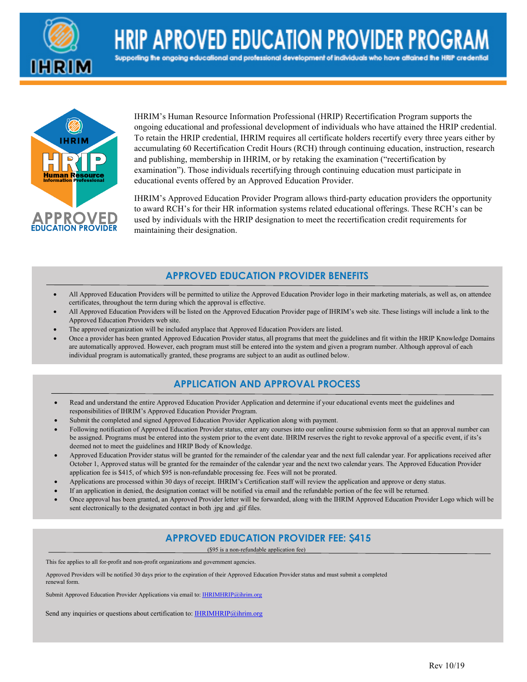

**HRIP APROVED EDUCATION PROVIDER PROGRA** 

Supporling the ongoing educational and professional development of individuals who have aftained the HRIP credential



IHRIM's Human Resource Information Professional (HRIP) Recertification Program supports the ongoing educational and professional development of individuals who have attained the HRIP credential. To retain the HRIP credential, IHRIM requires all certificate holders recertify every three years either by accumulating 60 Recertification Credit Hours (RCH) through continuing education, instruction, research and publishing, membership in IHRIM, or by retaking the examination ("recertification by examination"). Those individuals recertifying through continuing education must participate in educational events offered by an Approved Education Provider.

IHRIM's Approved Education Provider Program allows third-party education providers the opportunity to award RCH's for their HR information systems related educational offerings. These RCH's can be used by individuals with the HRIP designation to meet the recertification credit requirements for maintaining their designation.

## **APPROVED EDUCATION PROVIDER BENEFITS**

- All Approved Education Providers will be permitted to utilize the Approved Education Provider logo in their marketing materials, as well as, on attendee certificates, throughout the term during which the approval is effective.
- All Approved Education Providers will be listed on the Approved Education Provider page of IHRIM's web site. These listings will include a link to the Approved Education Providers web site.
- The approved organization will be included anyplace that Approved Education Providers are listed.
- Once a provider has been granted Approved Education Provider status, all programs that meet the guidelines and fit within the HRIP Knowledge Domains are automatically approved. However, each program must still be entered into the system and given a program number. Although approval of each individual program is automatically granted, these programs are subject to an audit as outlined below.

# **APPLICATION AND APPROVAL PROCESS**

- Read and understand the entire Approved Education Provider Application and determine if your educational events meet the guidelines and responsibilities of IHRIM's Approved Education Provider Program.
- Submit the completed and signed Approved Education Provider Application along with payment.
- Following notification of Approved Education Provider status, enter any courses into our online course submission form so that an approval number can be assigned. Programs must be entered into the system prior to the event date. IHRIM reserves the right to revoke approval of a specific event, if its's deemed not to meet the guidelines and HRIP Body of Knowledge.
- Approved Education Provider status will be granted for the remainder of the calendar year and the next full calendar year. For applications received after October 1, Approved status will be granted for the remainder of the calendar year and the next two calendar years. The Approved Education Provider application fee is \$415, of which \$95 is non-refundable processing fee. Fees will not be prorated.
- Applications are processed within 30 days of receipt. IHRIM's Certification staff will review the application and approve or deny status.
- If an application in denied, the designation contact will be notified via email and the refundable portion of the fee will be returned.
- Once approval has been granted, an Approved Provider letter will be forwarded, along with the IHRIM Approved Education Provider Logo which will be sent electronically to the designated contact in both .jpg and .gif files.

## **APPROVED EDUCATION PROVIDER FEE: \$415**

(\$95 is a non-refundable application fee)

This fee applies to all for-profit and non-profit organizations and government agencies.

Approved Providers will be notified 30 days prior to the expiration of their Approved Education Provider status and must submit a completed renewal form.

Submit Approved Education Provider Applications via email to: **IHRIMHRIP@ihrim.org** 

Send any inquiries or questions about certification to[: IHRIMHRIP@ihrim.org](mailto:IHRIMHRIP@ihrim.org)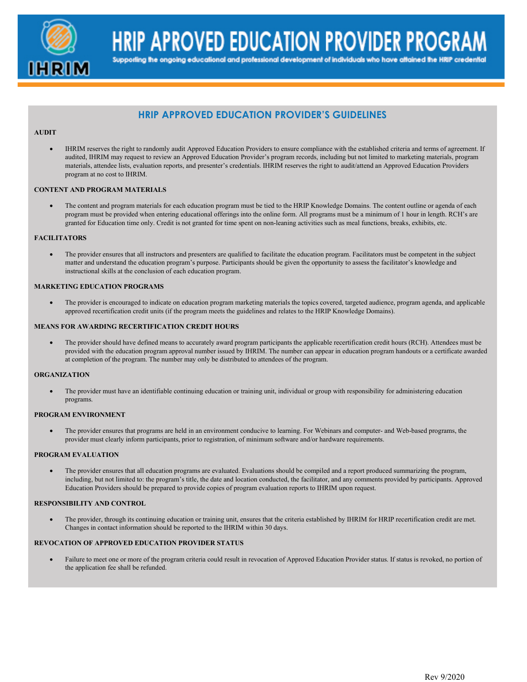

**HRIP APROVED EDUCATION PROVIDER PROGRAM** 

Supporting the ongoing educational and professional development of individuals who have aftained the HRIP credential

# **HRIP APPROVED EDUCATION PROVIDER'S GUIDELINES**

#### **AUDIT**

• IHRIM reserves the right to randomly audit Approved Education Providers to ensure compliance with the established criteria and terms of agreement. If audited, IHRIM may request to review an Approved Education Provider's program records, including but not limited to marketing materials, program materials, attendee lists, evaluation reports, and presenter's credentials. IHRIM reserves the right to audit/attend an Approved Education Providers program at no cost to IHRIM.

#### **CONTENT AND PROGRAM MATERIALS**

• The content and program materials for each education program must be tied to the HRIP Knowledge Domains. The content outline or agenda of each program must be provided when entering educational offerings into the online form. All programs must be a minimum of 1 hour in length. RCH's are granted for Education time only. Credit is not granted for time spent on non-leaning activities such as meal functions, breaks, exhibits, etc.

#### **FACILITATORS**

• The provider ensures that all instructors and presenters are qualified to facilitate the education program. Facilitators must be competent in the subject matter and understand the education program's purpose. Participants should be given the opportunity to assess the facilitator's knowledge and instructional skills at the conclusion of each education program.

#### **MARKETING EDUCATION PROGRAMS**

• The provider is encouraged to indicate on education program marketing materials the topics covered, targeted audience, program agenda, and applicable approved recertification credit units (if the program meets the guidelines and relates to the HRIP Knowledge Domains).

#### **MEANS FOR AWARDING RECERTIFICATION CREDIT HOURS**

• The provider should have defined means to accurately award program participants the applicable recertification credit hours (RCH). Attendees must be provided with the education program approval number issued by IHRIM. The number can appear in education program handouts or a certificate awarded at completion of the program. The number may only be distributed to attendees of the program.

#### **ORGANIZATION**

• The provider must have an identifiable continuing education or training unit, individual or group with responsibility for administering education programs.

#### **PROGRAM ENVIRONMENT**

• The provider ensures that programs are held in an environment conducive to learning. For Webinars and computer- and Web-based programs, the provider must clearly inform participants, prior to registration, of minimum software and/or hardware requirements.

#### **PROGRAM EVALUATION**

• The provider ensures that all education programs are evaluated. Evaluations should be compiled and a report produced summarizing the program, including, but not limited to: the program's title, the date and location conducted, the facilitator, and any comments provided by participants. Approved Education Providers should be prepared to provide copies of program evaluation reports to IHRIM upon request.

#### **RESPONSIBILITY AND CONTROL**

• The provider, through its continuing education or training unit, ensures that the criteria established by IHRIM for HRIP recertification credit are met. Changes in contact information should be reported to the IHRIM within 30 days.

#### **REVOCATION OF APPROVED EDUCATION PROVIDER STATUS**

• Failure to meet one or more of the program criteria could result in revocation of Approved Education Provider status. If status is revoked, no portion of the application fee shall be refunded.